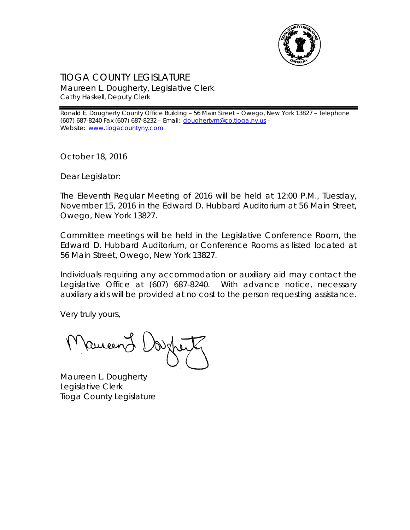

## TIOGA COUNTY LEGISLATURE Maureen L. Dougherty, Legislative Clerk Cathy Haskell, Deputy Clerk

Ronald E. Dougherty County Office Building – 56 Main Street – Owego, New York 13827 – Telephone (607) 687-8240 Fax (607) 687-8232 – Email: [doughertym@co.tioga.ny.us](mailto:doughertym@co.tioga.ny.us) – Website: [www.tiogacountyny.com](http://www.tiogacountyny.com/)

October 18, 2016

Dear Legislator:

The Eleventh Regular Meeting of 2016 will be held at 12:00 P.M., Tuesday, November 15, 2016 in the Edward D. Hubbard Auditorium at 56 Main Street, Owego, New York 13827.

Committee meetings will be held in the Legislative Conference Room, the Edward D. Hubbard Auditorium, or Conference Rooms as listed located at 56 Main Street, Owego, New York 13827.

Individuals requiring any accommodation or auxiliary aid may contact the Legislative Office at (607) 687-8240. With advance notice, necessary auxiliary aids will be provided at no cost to the person requesting assistance.

Very truly yours,

Remeent

Maureen L. Dougherty Legislative Clerk Tioga County Legislature